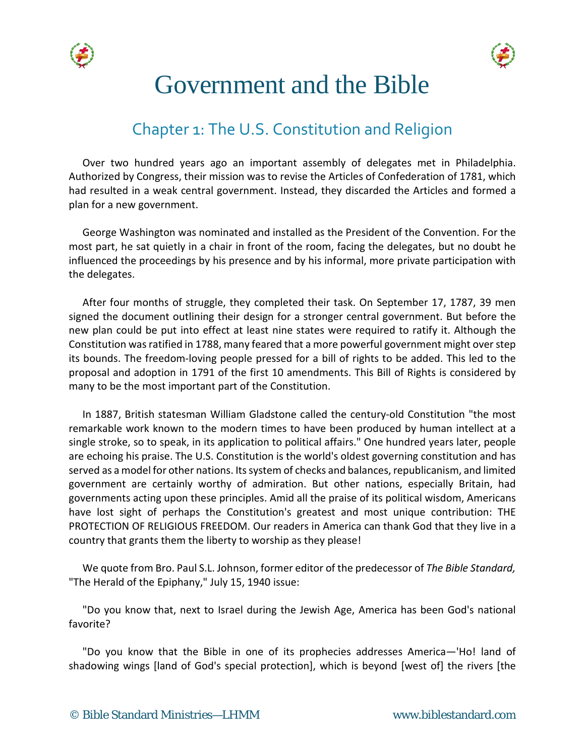



# Government and the Bible

# Chapter 1: The U.S. Constitution and Religion

Over two hundred years ago an important assembly of delegates met in Philadelphia. Authorized by Congress, their mission was to revise the Articles of Confederation of 1781, which had resulted in a weak central government. Instead, they discarded the Articles and formed a plan for a new government.

George Washington was nominated and installed as the President of the Convention. For the most part, he sat quietly in a chair in front of the room, facing the delegates, but no doubt he influenced the proceedings by his presence and by his informal, more private participation with the delegates.

After four months of struggle, they completed their task. On September 17, 1787, 39 men signed the document outlining their design for a stronger central government. But before the new plan could be put into effect at least nine states were required to ratify it. Although the Constitution was ratified in 1788, many feared that a more powerful government might over step its bounds. The freedom-loving people pressed for a bill of rights to be added. This led to the proposal and adoption in 1791 of the first 10 amendments. This Bill of Rights is considered by many to be the most important part of the Constitution.

In 1887, British statesman William Gladstone called the century-old Constitution "the most remarkable work known to the modern times to have been produced by human intellect at a single stroke, so to speak, in its application to political affairs." One hundred years later, people are echoing his praise. The U.S. Constitution is the world's oldest governing constitution and has served as a model for other nations. Its system of checks and balances, republicanism, and limited government are certainly worthy of admiration. But other nations, especially Britain, had governments acting upon these principles. Amid all the praise of its political wisdom, Americans have lost sight of perhaps the Constitution's greatest and most unique contribution: THE PROTECTION OF RELIGIOUS FREEDOM. Our readers in America can thank God that they live in a country that grants them the liberty to worship as they please!

We quote from Bro. Paul S.L. Johnson, former editor of the predecessor of *The Bible Standard,* "The Herald of the Epiphany," July 15, 1940 issue:

"Do you know that, next to Israel during the Jewish Age, America has been God's national favorite?

"Do you know that the Bible in one of its prophecies addresses America—'Ho! land of shadowing wings [land of God's special protection], which is beyond [west of] the rivers [the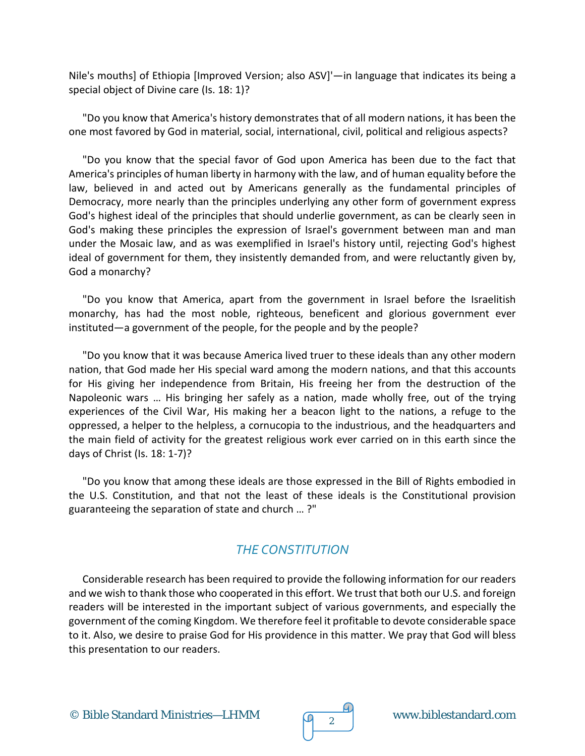Nile's mouths] of Ethiopia [Improved Version; also ASV]'—in language that indicates its being a special object of Divine care (Is. 18: 1)?

"Do you know that America's history demonstrates that of all modern nations, it has been the one most favored by God in material, social, international, civil, political and religious aspects?

"Do you know that the special favor of God upon America has been due to the fact that America's principles of human liberty in harmony with the law, and of human equality before the law, believed in and acted out by Americans generally as the fundamental principles of Democracy, more nearly than the principles underlying any other form of government express God's highest ideal of the principles that should underlie government, as can be clearly seen in God's making these principles the expression of Israel's government between man and man under the Mosaic law, and as was exemplified in Israel's history until, rejecting God's highest ideal of government for them, they insistently demanded from, and were reluctantly given by, God a monarchy?

"Do you know that America, apart from the government in Israel before the Israelitish monarchy, has had the most noble, righteous, beneficent and glorious government ever instituted—a government of the people, for the people and by the people?

"Do you know that it was because America lived truer to these ideals than any other modern nation, that God made her His special ward among the modern nations, and that this accounts for His giving her independence from Britain, His freeing her from the destruction of the Napoleonic wars … His bringing her safely as a nation, made wholly free, out of the trying experiences of the Civil War, His making her a beacon light to the nations, a refuge to the oppressed, a helper to the helpless, a cornucopia to the industrious, and the headquarters and the main field of activity for the greatest religious work ever carried on in this earth since the days of Christ (Is. 18: 1-7)?

"Do you know that among these ideals are those expressed in the Bill of Rights embodied in the U.S. Constitution, and that not the least of these ideals is the Constitutional provision guaranteeing the separation of state and church … ?"

#### *THE CONSTITUTION*

Considerable research has been required to provide the following information for our readers and we wish to thank those who cooperated in this effort. We trust that both our U.S. and foreign readers will be interested in the important subject of various governments, and especially the government of the coming Kingdom. We therefore feel it profitable to devote considerable space to it. Also, we desire to praise God for His providence in this matter. We pray that God will bless this presentation to our readers.

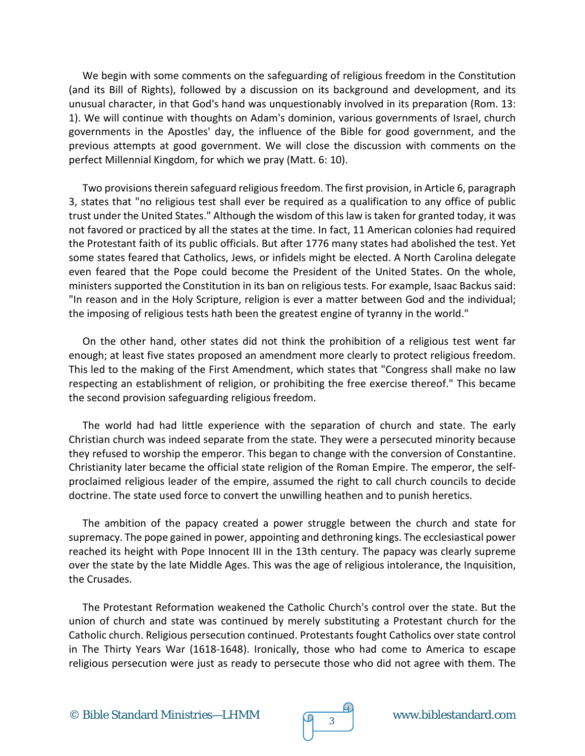We begin with some comments on the safeguarding of religious freedom in the Constitution (and its Bill of Rights), followed by a discussion on its background and development, and its unusual character, in that God's hand was unquestionably involved in its preparation (Rom. 13: 1). We will continue with thoughts on Adam's dominion, various governments of Israel, church governments in the Apostles' day, the influence of the Bible for good government, and the previous attempts at good government. We will close the discussion with comments on the perfect Millennial Kingdom, for which we pray (Matt. 6: 10).

Two provisions therein safeguard religious freedom. The first provision, in Article 6, paragraph 3, states that "no religious test shall ever be required as a qualification to any office of public trust under the United States." Although the wisdom of this law is taken for granted today, it was not favored or practiced by all the states at the time. In fact, 11 American colonies had required the Protestant faith of its public officials. But after 1776 many states had abolished the test. Yet some states feared that Catholics, Jews, or infidels might be elected. A North Carolina delegate even feared that the Pope could become the President of the United States. On the whole, ministers supported the Constitution in its ban on religious tests. For example, Isaac Backus said: "In reason and in the Holy Scripture, religion is ever a matter between God and the individual; the imposing of religious tests hath been the greatest engine of tyranny in the world."

On the other hand, other states did not think the prohibition of a religious test went far enough; at least five states proposed an amendment more clearly to protect religious freedom. This led to the making of the First Amendment, which states that "Congress shall make no law respecting an establishment of religion, or prohibiting the free exercise thereof." This became the second provision safeguarding religious freedom.

The world had had little experience with the separation of church and state. The early Christian church was indeed separate from the state. They were a persecuted minority because they refused to worship the emperor. This began to change with the conversion of Constantine. Christianity later became the official state religion of the Roman Empire. The emperor, the selfproclaimed religious leader of the empire, assumed the right to call church councils to decide doctrine. The state used force to convert the unwilling heathen and to punish heretics.

The ambition of the papacy created a power struggle between the church and state for supremacy. The pope gained in power, appointing and dethroning kings. The ecclesiastical power reached its height with Pope Innocent III in the 13th century. The papacy was clearly supreme over the state by the late Middle Ages. This was the age of religious intolerance, the Inquisition, the Crusades.

The Protestant Reformation weakened the Catholic Church's control over the state. But the union of church and state was continued by merely substituting a Protestant church for the Catholic church. Religious persecution continued. Protestants fought Catholics over state control in The Thirty Years War (1618-1648). Ironically, those who had come to America to escape religious persecution were just as ready to persecute those who did not agree with them. The

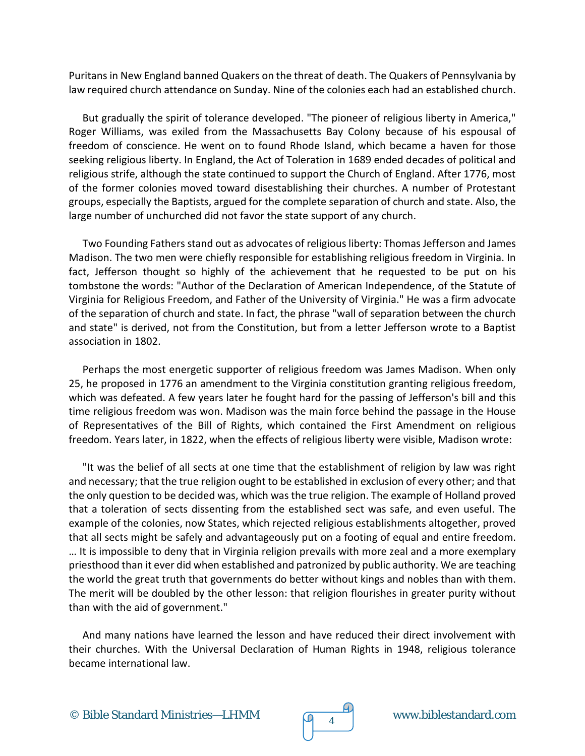Puritans in New England banned Quakers on the threat of death. The Quakers of Pennsylvania by law required church attendance on Sunday. Nine of the colonies each had an established church.

But gradually the spirit of tolerance developed. "The pioneer of religious liberty in America," Roger Williams, was exiled from the Massachusetts Bay Colony because of his espousal of freedom of conscience. He went on to found Rhode Island, which became a haven for those seeking religious liberty. In England, the Act of Toleration in 1689 ended decades of political and religious strife, although the state continued to support the Church of England. After 1776, most of the former colonies moved toward disestablishing their churches. A number of Protestant groups, especially the Baptists, argued for the complete separation of church and state. Also, the large number of unchurched did not favor the state support of any church.

Two Founding Fathers stand out as advocates of religious liberty: Thomas Jefferson and James Madison. The two men were chiefly responsible for establishing religious freedom in Virginia. In fact, Jefferson thought so highly of the achievement that he requested to be put on his tombstone the words: "Author of the Declaration of American Independence, of the Statute of Virginia for Religious Freedom, and Father of the University of Virginia." He was a firm advocate of the separation of church and state. In fact, the phrase "wall of separation between the church and state" is derived, not from the Constitution, but from a letter Jefferson wrote to a Baptist association in 1802.

Perhaps the most energetic supporter of religious freedom was James Madison. When only 25, he proposed in 1776 an amendment to the Virginia constitution granting religious freedom, which was defeated. A few years later he fought hard for the passing of Jefferson's bill and this time religious freedom was won. Madison was the main force behind the passage in the House of Representatives of the Bill of Rights, which contained the First Amendment on religious freedom. Years later, in 1822, when the effects of religious liberty were visible, Madison wrote:

"It was the belief of all sects at one time that the establishment of religion by law was right and necessary; that the true religion ought to be established in exclusion of every other; and that the only question to be decided was, which was the true religion. The example of Holland proved that a toleration of sects dissenting from the established sect was safe, and even useful. The example of the colonies, now States, which rejected religious establishments altogether, proved that all sects might be safely and advantageously put on a footing of equal and entire freedom. … It is impossible to deny that in Virginia religion prevails with more zeal and a more exemplary priesthood than it ever did when established and patronized by public authority. We are teaching the world the great truth that governments do better without kings and nobles than with them. The merit will be doubled by the other lesson: that religion flourishes in greater purity without than with the aid of government."

And many nations have learned the lesson and have reduced their direct involvement with their churches. With the Universal Declaration of Human Rights in 1948, religious tolerance became international law.



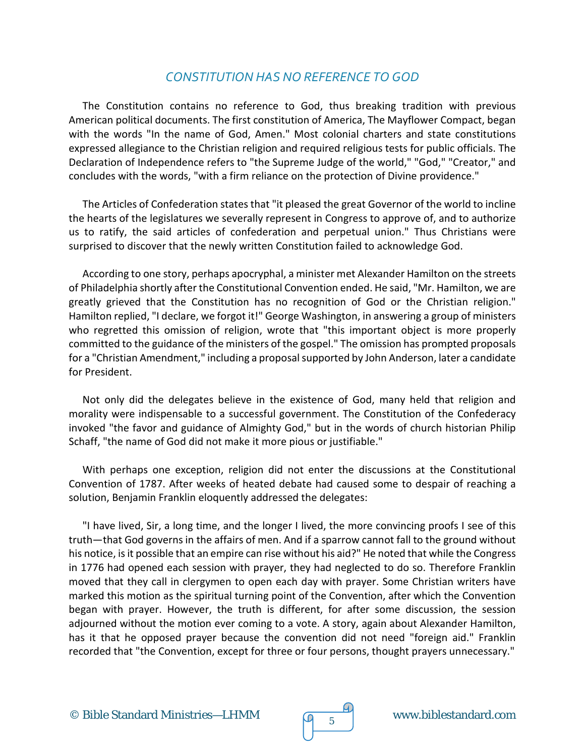#### *CONSTITUTION HAS NO REFERENCE TO GOD*

The Constitution contains no reference to God, thus breaking tradition with previous American political documents. The first constitution of America, The Mayflower Compact, began with the words "In the name of God, Amen." Most colonial charters and state constitutions expressed allegiance to the Christian religion and required religious tests for public officials. The Declaration of Independence refers to "the Supreme Judge of the world," "God," "Creator," and concludes with the words, "with a firm reliance on the protection of Divine providence."

The Articles of Confederation states that "it pleased the great Governor of the world to incline the hearts of the legislatures we severally represent in Congress to approve of, and to authorize us to ratify, the said articles of confederation and perpetual union." Thus Christians were surprised to discover that the newly written Constitution failed to acknowledge God.

According to one story, perhaps apocryphal, a minister met Alexander Hamilton on the streets of Philadelphia shortly after the Constitutional Convention ended. He said, "Mr. Hamilton, we are greatly grieved that the Constitution has no recognition of God or the Christian religion." Hamilton replied, "I declare, we forgot it!" George Washington, in answering a group of ministers who regretted this omission of religion, wrote that "this important object is more properly committed to the guidance of the ministers of the gospel." The omission has prompted proposals for a "Christian Amendment," including a proposal supported by John Anderson, later a candidate for President.

Not only did the delegates believe in the existence of God, many held that religion and morality were indispensable to a successful government. The Constitution of the Confederacy invoked "the favor and guidance of Almighty God," but in the words of church historian Philip Schaff, "the name of God did not make it more pious or justifiable."

With perhaps one exception, religion did not enter the discussions at the Constitutional Convention of 1787. After weeks of heated debate had caused some to despair of reaching a solution, Benjamin Franklin eloquently addressed the delegates:

"I have lived, Sir, a long time, and the longer I lived, the more convincing proofs I see of this truth—that God governs in the affairs of men. And if a sparrow cannot fall to the ground without his notice, is it possible that an empire can rise without his aid?" He noted that while the Congress in 1776 had opened each session with prayer, they had neglected to do so. Therefore Franklin moved that they call in clergymen to open each day with prayer. Some Christian writers have marked this motion as the spiritual turning point of the Convention, after which the Convention began with prayer. However, the truth is different, for after some discussion, the session adjourned without the motion ever coming to a vote. A story, again about Alexander Hamilton, has it that he opposed prayer because the convention did not need "foreign aid." Franklin recorded that "the Convention, except for three or four persons, thought prayers unnecessary."

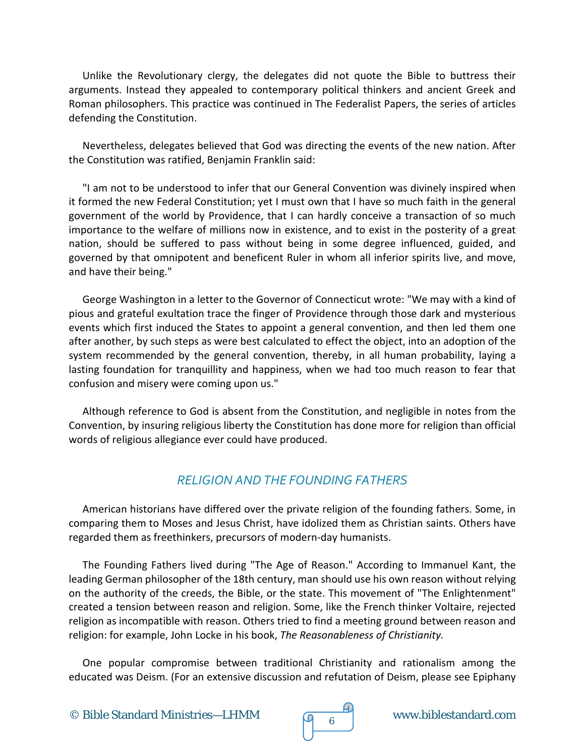Unlike the Revolutionary clergy, the delegates did not quote the Bible to buttress their arguments. Instead they appealed to contemporary political thinkers and ancient Greek and Roman philosophers. This practice was continued in The Federalist Papers, the series of articles defending the Constitution.

Nevertheless, delegates believed that God was directing the events of the new nation. After the Constitution was ratified, Benjamin Franklin said:

"I am not to be understood to infer that our General Convention was divinely inspired when it formed the new Federal Constitution; yet I must own that I have so much faith in the general government of the world by Providence, that I can hardly conceive a transaction of so much importance to the welfare of millions now in existence, and to exist in the posterity of a great nation, should be suffered to pass without being in some degree influenced, guided, and governed by that omnipotent and beneficent Ruler in whom all inferior spirits live, and move, and have their being."

George Washington in a letter to the Governor of Connecticut wrote: "We may with a kind of pious and grateful exultation trace the finger of Providence through those dark and mysterious events which first induced the States to appoint a general convention, and then led them one after another, by such steps as were best calculated to effect the object, into an adoption of the system recommended by the general convention, thereby, in all human probability, laying a lasting foundation for tranquillity and happiness, when we had too much reason to fear that confusion and misery were coming upon us."

Although reference to God is absent from the Constitution, and negligible in notes from the Convention, by insuring religious liberty the Constitution has done more for religion than official words of religious allegiance ever could have produced.

#### *RELIGION AND THE FOUNDING FATHERS*

American historians have differed over the private religion of the founding fathers. Some, in comparing them to Moses and Jesus Christ, have idolized them as Christian saints. Others have regarded them as freethinkers, precursors of modern-day humanists.

The Founding Fathers lived during "The Age of Reason." According to Immanuel Kant, the leading German philosopher of the 18th century, man should use his own reason without relying on the authority of the creeds, the Bible, or the state. This movement of "The Enlightenment" created a tension between reason and religion. Some, like the French thinker Voltaire, rejected religion as incompatible with reason. Others tried to find a meeting ground between reason and religion: for example, John Locke in his book, *The Reasonableness of Christianity.*

One popular compromise between traditional Christianity and rationalism among the educated was Deism. (For an extensive discussion and refutation of Deism, please see Epiphany

© Bible Standard Ministries—LHMM www.biblestandard.com <sup>6</sup>

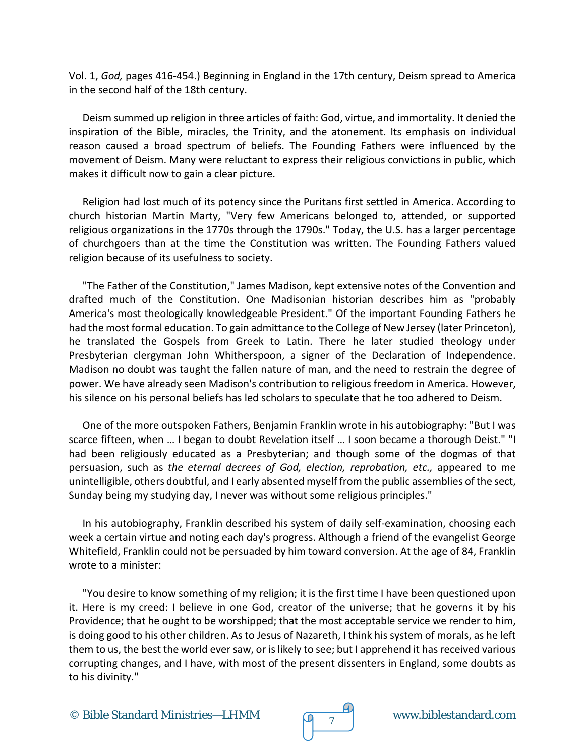Vol. 1, *God,* pages 416-454.) Beginning in England in the 17th century, Deism spread to America in the second half of the 18th century.

Deism summed up religion in three articles of faith: God, virtue, and immortality. It denied the inspiration of the Bible, miracles, the Trinity, and the atonement. Its emphasis on individual reason caused a broad spectrum of beliefs. The Founding Fathers were influenced by the movement of Deism. Many were reluctant to express their religious convictions in public, which makes it difficult now to gain a clear picture.

Religion had lost much of its potency since the Puritans first settled in America. According to church historian Martin Marty, "Very few Americans belonged to, attended, or supported religious organizations in the 1770s through the 1790s." Today, the U.S. has a larger percentage of churchgoers than at the time the Constitution was written. The Founding Fathers valued religion because of its usefulness to society.

"The Father of the Constitution," James Madison, kept extensive notes of the Convention and drafted much of the Constitution. One Madisonian historian describes him as "probably America's most theologically knowledgeable President." Of the important Founding Fathers he had the most formal education. To gain admittance to the College of New Jersey (later Princeton), he translated the Gospels from Greek to Latin. There he later studied theology under Presbyterian clergyman John Whitherspoon, a signer of the Declaration of Independence. Madison no doubt was taught the fallen nature of man, and the need to restrain the degree of power. We have already seen Madison's contribution to religious freedom in America. However, his silence on his personal beliefs has led scholars to speculate that he too adhered to Deism.

One of the more outspoken Fathers, Benjamin Franklin wrote in his autobiography: "But I was scarce fifteen, when … I began to doubt Revelation itself … I soon became a thorough Deist." "I had been religiously educated as a Presbyterian; and though some of the dogmas of that persuasion, such as *the eternal decrees of God, election, reprobation, etc.,* appeared to me unintelligible, others doubtful, and I early absented myself from the public assemblies of the sect, Sunday being my studying day, I never was without some religious principles."

In his autobiography, Franklin described his system of daily self-examination, choosing each week a certain virtue and noting each day's progress. Although a friend of the evangelist George Whitefield, Franklin could not be persuaded by him toward conversion. At the age of 84, Franklin wrote to a minister:

"You desire to know something of my religion; it is the first time I have been questioned upon it. Here is my creed: I believe in one God, creator of the universe; that he governs it by his Providence; that he ought to be worshipped; that the most acceptable service we render to him, is doing good to his other children. As to Jesus of Nazareth, I think his system of morals, as he left them to us, the best the world ever saw, or is likely to see; but I apprehend it has received various corrupting changes, and I have, with most of the present dissenters in England, some doubts as to his divinity."

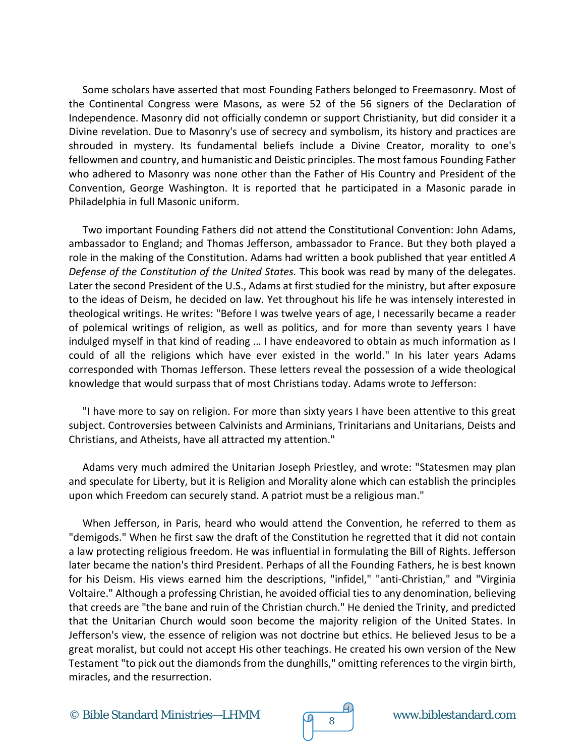Some scholars have asserted that most Founding Fathers belonged to Freemasonry. Most of the Continental Congress were Masons, as were 52 of the 56 signers of the Declaration of Independence. Masonry did not officially condemn or support Christianity, but did consider it a Divine revelation. Due to Masonry's use of secrecy and symbolism, its history and practices are shrouded in mystery. Its fundamental beliefs include a Divine Creator, morality to one's fellowmen and country, and humanistic and Deistic principles. The most famous Founding Father who adhered to Masonry was none other than the Father of His Country and President of the Convention, George Washington. It is reported that he participated in a Masonic parade in Philadelphia in full Masonic uniform.

Two important Founding Fathers did not attend the Constitutional Convention: John Adams, ambassador to England; and Thomas Jefferson, ambassador to France. But they both played a role in the making of the Constitution. Adams had written a book published that year entitled *A Defense of the Constitution of the United States.* This book was read by many of the delegates. Later the second President of the U.S., Adams at first studied for the ministry, but after exposure to the ideas of Deism, he decided on law. Yet throughout his life he was intensely interested in theological writings. He writes: "Before I was twelve years of age, I necessarily became a reader of polemical writings of religion, as well as politics, and for more than seventy years I have indulged myself in that kind of reading … I have endeavored to obtain as much information as I could of all the religions which have ever existed in the world." In his later years Adams corresponded with Thomas Jefferson. These letters reveal the possession of a wide theological knowledge that would surpass that of most Christians today. Adams wrote to Jefferson:

"I have more to say on religion. For more than sixty years I have been attentive to this great subject. Controversies between Calvinists and Arminians, Trinitarians and Unitarians, Deists and Christians, and Atheists, have all attracted my attention."

Adams very much admired the Unitarian Joseph Priestley, and wrote: "Statesmen may plan and speculate for Liberty, but it is Religion and Morality alone which can establish the principles upon which Freedom can securely stand. A patriot must be a religious man."

When Jefferson, in Paris, heard who would attend the Convention, he referred to them as "demigods." When he first saw the draft of the Constitution he regretted that it did not contain a law protecting religious freedom. He was influential in formulating the Bill of Rights. Jefferson later became the nation's third President. Perhaps of all the Founding Fathers, he is best known for his Deism. His views earned him the descriptions, "infidel," "anti-Christian," and "Virginia Voltaire." Although a professing Christian, he avoided official ties to any denomination, believing that creeds are "the bane and ruin of the Christian church." He denied the Trinity, and predicted that the Unitarian Church would soon become the majority religion of the United States. In Jefferson's view, the essence of religion was not doctrine but ethics. He believed Jesus to be a great moralist, but could not accept His other teachings. He created his own version of the New Testament "to pick out the diamonds from the dunghills," omitting references to the virgin birth, miracles, and the resurrection.

© Bible Standard Ministries—LHMM  $\sqrt{9}8$  www.biblestandard.com

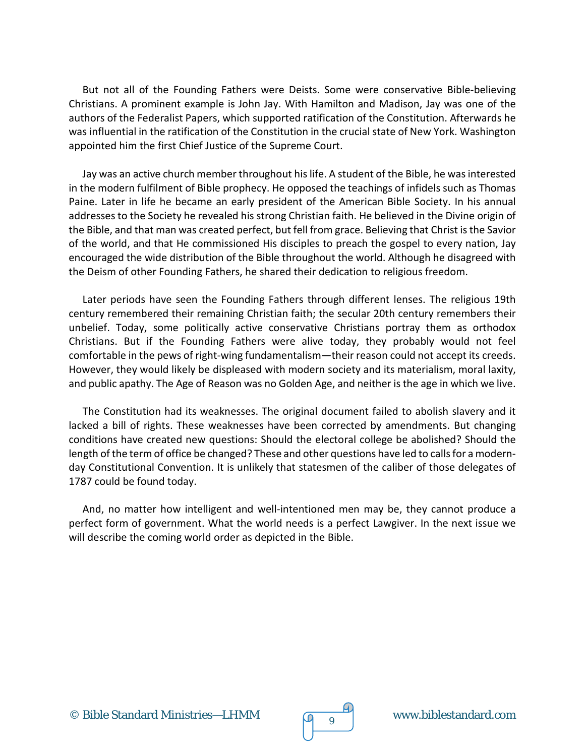But not all of the Founding Fathers were Deists. Some were conservative Bible-believing Christians. A prominent example is John Jay. With Hamilton and Madison, Jay was one of the authors of the Federalist Papers, which supported ratification of the Constitution. Afterwards he was influential in the ratification of the Constitution in the crucial state of New York. Washington appointed him the first Chief Justice of the Supreme Court.

Jay was an active church member throughout his life. A student of the Bible, he was interested in the modern fulfilment of Bible prophecy. He opposed the teachings of infidels such as Thomas Paine. Later in life he became an early president of the American Bible Society. In his annual addresses to the Society he revealed his strong Christian faith. He believed in the Divine origin of the Bible, and that man was created perfect, but fell from grace. Believing that Christ is the Savior of the world, and that He commissioned His disciples to preach the gospel to every nation, Jay encouraged the wide distribution of the Bible throughout the world. Although he disagreed with the Deism of other Founding Fathers, he shared their dedication to religious freedom.

Later periods have seen the Founding Fathers through different lenses. The religious 19th century remembered their remaining Christian faith; the secular 20th century remembers their unbelief. Today, some politically active conservative Christians portray them as orthodox Christians. But if the Founding Fathers were alive today, they probably would not feel comfortable in the pews of right-wing fundamentalism—their reason could not accept its creeds. However, they would likely be displeased with modern society and its materialism, moral laxity, and public apathy. The Age of Reason was no Golden Age, and neither is the age in which we live.

The Constitution had its weaknesses. The original document failed to abolish slavery and it lacked a bill of rights. These weaknesses have been corrected by amendments. But changing conditions have created new questions: Should the electoral college be abolished? Should the length of the term of office be changed? These and other questions have led to calls for a modernday Constitutional Convention. It is unlikely that statesmen of the caliber of those delegates of 1787 could be found today.

And, no matter how intelligent and well-intentioned men may be, they cannot produce a perfect form of government. What the world needs is a perfect Lawgiver. In the next issue we will describe the coming world order as depicted in the Bible.

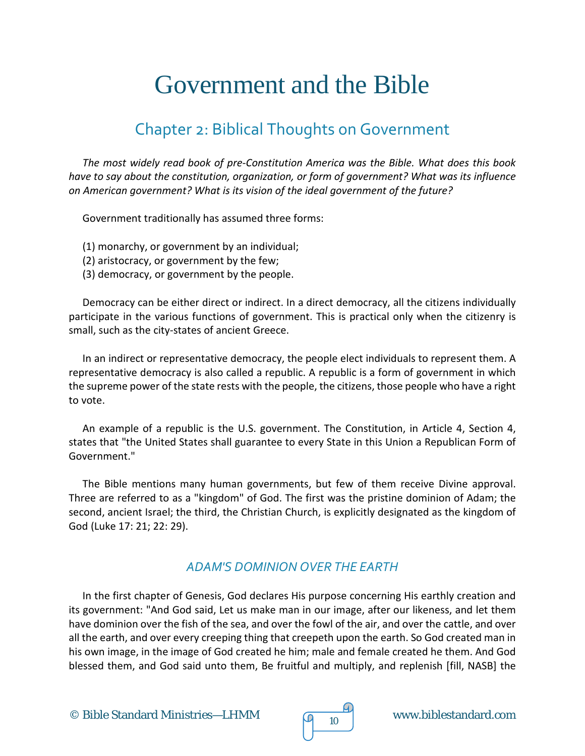# Government and the Bible

# Chapter 2: Biblical Thoughts on Government

*The most widely read book of pre-Constitution America was the Bible. What does this book have to say about the constitution, organization, or form of government? What was its influence on American government? What is its vision of the ideal government of the future?*

Government traditionally has assumed three forms:

- (1) monarchy, or government by an individual;
- (2) aristocracy, or government by the few;
- (3) democracy, or government by the people.

Democracy can be either direct or indirect. In a direct democracy, all the citizens individually participate in the various functions of government. This is practical only when the citizenry is small, such as the city-states of ancient Greece.

In an indirect or representative democracy, the people elect individuals to represent them. A representative democracy is also called a republic. A republic is a form of government in which the supreme power of the state rests with the people, the citizens, those people who have a right to vote.

An example of a republic is the U.S. government. The Constitution, in Article 4, Section 4, states that "the United States shall guarantee to every State in this Union a Republican Form of Government."

The Bible mentions many human governments, but few of them receive Divine approval. Three are referred to as a "kingdom" of God. The first was the pristine dominion of Adam; the second, ancient Israel; the third, the Christian Church, is explicitly designated as the kingdom of God (Luke 17: 21; 22: 29).

#### *ADAM'S DOMINION OVER THE EARTH*

In the first chapter of Genesis, God declares His purpose concerning His earthly creation and its government: "And God said, Let us make man in our image, after our likeness, and let them have dominion over the fish of the sea, and over the fowl of the air, and over the cattle, and over all the earth, and over every creeping thing that creepeth upon the earth. So God created man in his own image, in the image of God created he him; male and female created he them. And God blessed them, and God said unto them, Be fruitful and multiply, and replenish [fill, NASB] the

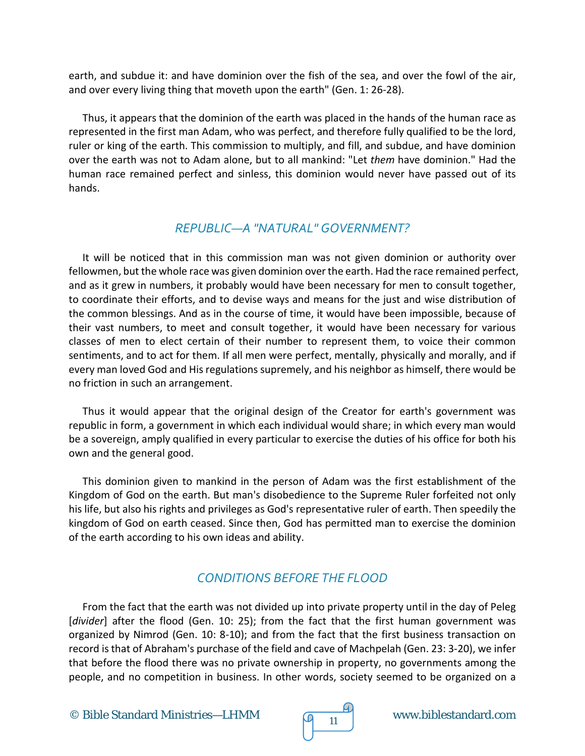earth, and subdue it: and have dominion over the fish of the sea, and over the fowl of the air, and over every living thing that moveth upon the earth" (Gen. 1: 26-28).

Thus, it appears that the dominion of the earth was placed in the hands of the human race as represented in the first man Adam, who was perfect, and therefore fully qualified to be the lord, ruler or king of the earth. This commission to multiply, and fill, and subdue, and have dominion over the earth was not to Adam alone, but to all mankind: "Let *them* have dominion." Had the human race remained perfect and sinless, this dominion would never have passed out of its hands.

#### *REPUBLIC—A "NATURAL" GOVERNMENT?*

It will be noticed that in this commission man was not given dominion or authority over fellowmen, but the whole race was given dominion over the earth. Had the race remained perfect, and as it grew in numbers, it probably would have been necessary for men to consult together, to coordinate their efforts, and to devise ways and means for the just and wise distribution of the common blessings. And as in the course of time, it would have been impossible, because of their vast numbers, to meet and consult together, it would have been necessary for various classes of men to elect certain of their number to represent them, to voice their common sentiments, and to act for them. If all men were perfect, mentally, physically and morally, and if every man loved God and His regulations supremely, and his neighbor as himself, there would be no friction in such an arrangement.

Thus it would appear that the original design of the Creator for earth's government was republic in form, a government in which each individual would share; in which every man would be a sovereign, amply qualified in every particular to exercise the duties of his office for both his own and the general good.

This dominion given to mankind in the person of Adam was the first establishment of the Kingdom of God on the earth. But man's disobedience to the Supreme Ruler forfeited not only his life, but also his rights and privileges as God's representative ruler of earth. Then speedily the kingdom of God on earth ceased. Since then, God has permitted man to exercise the dominion of the earth according to his own ideas and ability.

## *CONDITIONS BEFORE THE FLOOD*

From the fact that the earth was not divided up into private property until in the day of Peleg [*divider*] after the flood (Gen. 10: 25); from the fact that the first human government was organized by Nimrod (Gen. 10: 8-10); and from the fact that the first business transaction on record is that of Abraham's purchase of the field and cave of Machpelah (Gen. 23: 3-20), we infer that before the flood there was no private ownership in property, no governments among the people, and no competition in business. In other words, society seemed to be organized on a

© Bible Standard Ministries—LHMM  $\sqrt{9}$  11 www.biblestandard.com

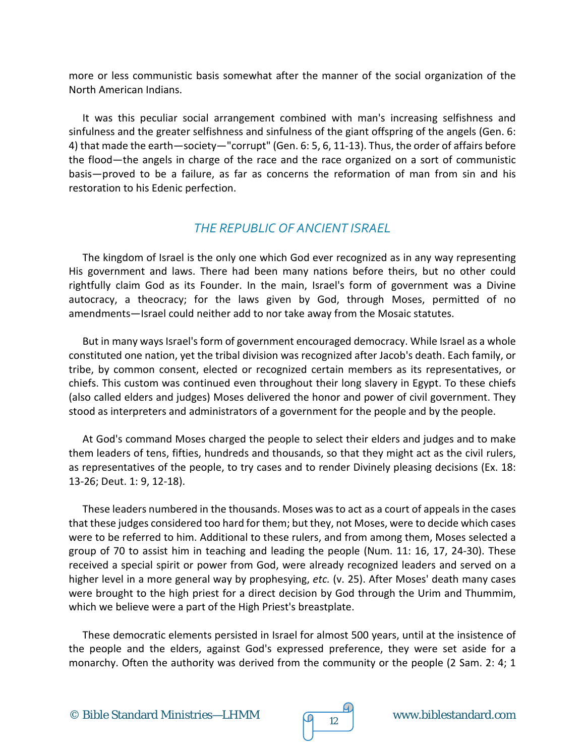more or less communistic basis somewhat after the manner of the social organization of the North American Indians.

It was this peculiar social arrangement combined with man's increasing selfishness and sinfulness and the greater selfishness and sinfulness of the giant offspring of the angels (Gen. 6: 4) that made the earth—society—"corrupt" (Gen. 6: 5, 6, 11-13). Thus, the order of affairs before the flood—the angels in charge of the race and the race organized on a sort of communistic basis—proved to be a failure, as far as concerns the reformation of man from sin and his restoration to his Edenic perfection.

#### *THE REPUBLIC OF ANCIENT ISRAEL*

The kingdom of Israel is the only one which God ever recognized as in any way representing His government and laws. There had been many nations before theirs, but no other could rightfully claim God as its Founder. In the main, Israel's form of government was a Divine autocracy, a theocracy; for the laws given by God, through Moses, permitted of no amendments—Israel could neither add to nor take away from the Mosaic statutes.

But in many ways Israel's form of government encouraged democracy. While Israel as a whole constituted one nation, yet the tribal division was recognized after Jacob's death. Each family, or tribe, by common consent, elected or recognized certain members as its representatives, or chiefs. This custom was continued even throughout their long slavery in Egypt. To these chiefs (also called elders and judges) Moses delivered the honor and power of civil government. They stood as interpreters and administrators of a government for the people and by the people.

At God's command Moses charged the people to select their elders and judges and to make them leaders of tens, fifties, hundreds and thousands, so that they might act as the civil rulers, as representatives of the people, to try cases and to render Divinely pleasing decisions (Ex. 18: 13-26; Deut. 1: 9, 12-18).

These leaders numbered in the thousands. Moses was to act as a court of appeals in the cases that these judges considered too hard for them; but they, not Moses, were to decide which cases were to be referred to him. Additional to these rulers, and from among them, Moses selected a group of 70 to assist him in teaching and leading the people (Num. 11: 16, 17, 24-30). These received a special spirit or power from God, were already recognized leaders and served on a higher level in a more general way by prophesying, *etc.* (v. 25). After Moses' death many cases were brought to the high priest for a direct decision by God through the Urim and Thummim, which we believe were a part of the High Priest's breastplate.

These democratic elements persisted in Israel for almost 500 years, until at the insistence of the people and the elders, against God's expressed preference, they were set aside for a monarchy. Often the authority was derived from the community or the people (2 Sam. 2: 4; 1



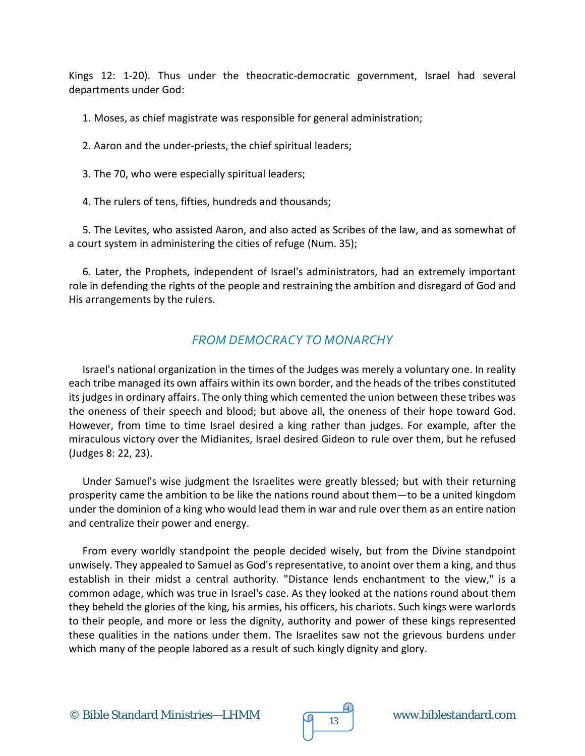Kings 12: 1-20). Thus under the theocratic-democratic government, Israel had several departments under God:

1. Moses, as chief magistrate was responsible for general administration;

2. Aaron and the under-priests, the chief spiritual leaders;

3. The 70, who were especially spiritual leaders;

4. The rulers of tens, fifties, hundreds and thousands;

5. The Levites, who assisted Aaron, and also acted as Scribes of the law, and as somewhat of a court system in administering the cities of refuge (Num. 35);

6. Later, the Prophets, independent of Israel's administrators, had an extremely important role in defending the rights of the people and restraining the ambition and disregard of God and His arrangements by the rulers.

## *FROM DEMOCRACY TO MONARCHY*

Israel's national organization in the times of the Judges was merely a voluntary one. In reality each tribe managed its own affairs within its own border, and the heads of the tribes constituted its judges in ordinary affairs. The only thing which cemented the union between these tribes was the oneness of their speech and blood; but above all, the oneness of their hope toward God. However, from time to time Israel desired a king rather than judges. For example, after the miraculous victory over the Midianites, Israel desired Gideon to rule over them, but he refused (Judges 8: 22, 23).

Under Samuel's wise judgment the Israelites were greatly blessed; but with their returning prosperity came the ambition to be like the nations round about them—to be a united kingdom under the dominion of a king who would lead them in war and rule over them as an entire nation and centralize their power and energy.

From every worldly standpoint the people decided wisely, but from the Divine standpoint unwisely. They appealed to Samuel as God's representative, to anoint over them a king, and thus establish in their midst a central authority. "Distance lends enchantment to the view," is a common adage, which was true in Israel's case. As they looked at the nations round about them they beheld the glories of the king, his armies, his officers, his chariots. Such kings were warlords to their people, and more or less the dignity, authority and power of these kings represented these qualities in the nations under them. The Israelites saw not the grievous burdens under which many of the people labored as a result of such kingly dignity and glory.

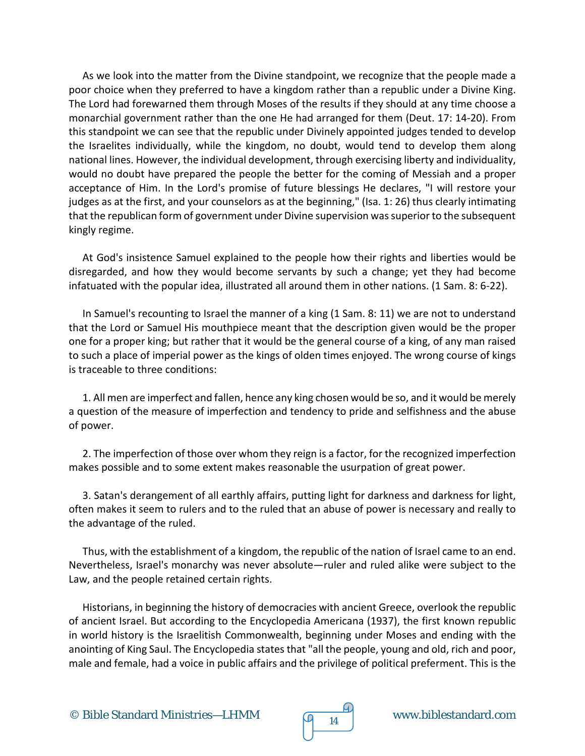As we look into the matter from the Divine standpoint, we recognize that the people made a poor choice when they preferred to have a kingdom rather than a republic under a Divine King. The Lord had forewarned them through Moses of the results if they should at any time choose a monarchial government rather than the one He had arranged for them (Deut. 17: 14-20). From this standpoint we can see that the republic under Divinely appointed judges tended to develop the Israelites individually, while the kingdom, no doubt, would tend to develop them along national lines. However, the individual development, through exercising liberty and individuality, would no doubt have prepared the people the better for the coming of Messiah and a proper acceptance of Him. In the Lord's promise of future blessings He declares, "I will restore your judges as at the first, and your counselors as at the beginning," (Isa. 1: 26) thus clearly intimating that the republican form of government under Divine supervision was superior to the subsequent kingly regime.

At God's insistence Samuel explained to the people how their rights and liberties would be disregarded, and how they would become servants by such a change; yet they had become infatuated with the popular idea, illustrated all around them in other nations. (1 Sam. 8: 6-22).

In Samuel's recounting to Israel the manner of a king (1 Sam. 8: 11) we are not to understand that the Lord or Samuel His mouthpiece meant that the description given would be the proper one for a proper king; but rather that it would be the general course of a king, of any man raised to such a place of imperial power as the kings of olden times enjoyed. The wrong course of kings is traceable to three conditions:

1. All men are imperfect and fallen, hence any king chosen would be so, and it would be merely a question of the measure of imperfection and tendency to pride and selfishness and the abuse of power.

2. The imperfection of those over whom they reign is a factor, for the recognized imperfection makes possible and to some extent makes reasonable the usurpation of great power.

3. Satan's derangement of all earthly affairs, putting light for darkness and darkness for light, often makes it seem to rulers and to the ruled that an abuse of power is necessary and really to the advantage of the ruled.

Thus, with the establishment of a kingdom, the republic of the nation of Israel came to an end. Nevertheless, Israel's monarchy was never absolute—ruler and ruled alike were subject to the Law, and the people retained certain rights.

Historians, in beginning the history of democracies with ancient Greece, overlook the republic of ancient Israel. But according to the Encyclopedia Americana (1937), the first known republic in world history is the Israelitish Commonwealth, beginning under Moses and ending with the anointing of King Saul. The Encyclopedia states that "all the people, young and old, rich and poor, male and female, had a voice in public affairs and the privilege of political preferment. This is the

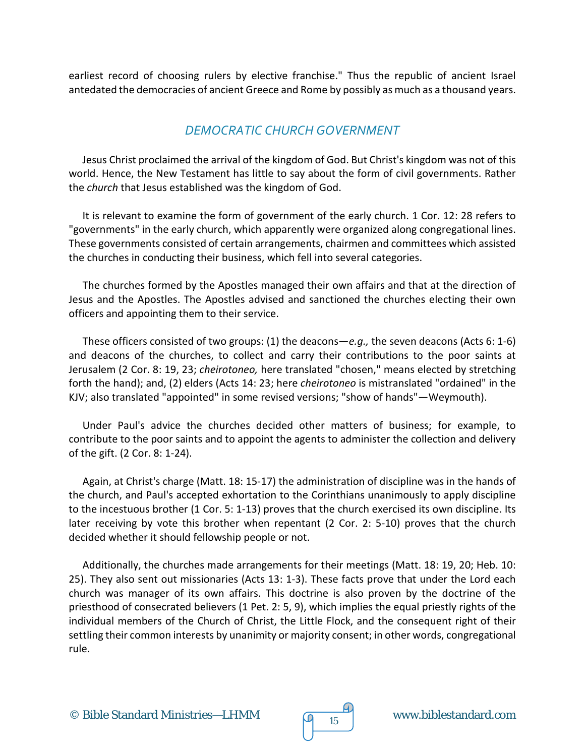earliest record of choosing rulers by elective franchise." Thus the republic of ancient Israel antedated the democracies of ancient Greece and Rome by possibly as much as a thousand years.

#### *DEMOCRATIC CHURCH GOVERNMENT*

Jesus Christ proclaimed the arrival of the kingdom of God. But Christ's kingdom was not of this world. Hence, the New Testament has little to say about the form of civil governments. Rather the *church* that Jesus established was the kingdom of God.

It is relevant to examine the form of government of the early church. 1 Cor. 12: 28 refers to "governments" in the early church, which apparently were organized along congregational lines. These governments consisted of certain arrangements, chairmen and committees which assisted the churches in conducting their business, which fell into several categories.

The churches formed by the Apostles managed their own affairs and that at the direction of Jesus and the Apostles. The Apostles advised and sanctioned the churches electing their own officers and appointing them to their service.

These officers consisted of two groups: (1) the deacons—*e.g.,* the seven deacons (Acts 6: 1-6) and deacons of the churches, to collect and carry their contributions to the poor saints at Jerusalem (2 Cor. 8: 19, 23; *cheirotoneo,* here translated "chosen," means elected by stretching forth the hand); and, (2) elders (Acts 14: 23; here *cheirotoneo* is mistranslated "ordained" in the KJV; also translated "appointed" in some revised versions; "show of hands"—Weymouth).

Under Paul's advice the churches decided other matters of business; for example, to contribute to the poor saints and to appoint the agents to administer the collection and delivery of the gift. (2 Cor. 8: 1-24).

Again, at Christ's charge (Matt. 18: 15-17) the administration of discipline was in the hands of the church, and Paul's accepted exhortation to the Corinthians unanimously to apply discipline to the incestuous brother (1 Cor. 5: 1-13) proves that the church exercised its own discipline. Its later receiving by vote this brother when repentant (2 Cor. 2: 5-10) proves that the church decided whether it should fellowship people or not.

Additionally, the churches made arrangements for their meetings (Matt. 18: 19, 20; Heb. 10: 25). They also sent out missionaries (Acts 13: 1-3). These facts prove that under the Lord each church was manager of its own affairs. This doctrine is also proven by the doctrine of the priesthood of consecrated believers (1 Pet. 2: 5, 9), which implies the equal priestly rights of the individual members of the Church of Christ, the Little Flock, and the consequent right of their settling their common interests by unanimity or majority consent; in other words, congregational rule.

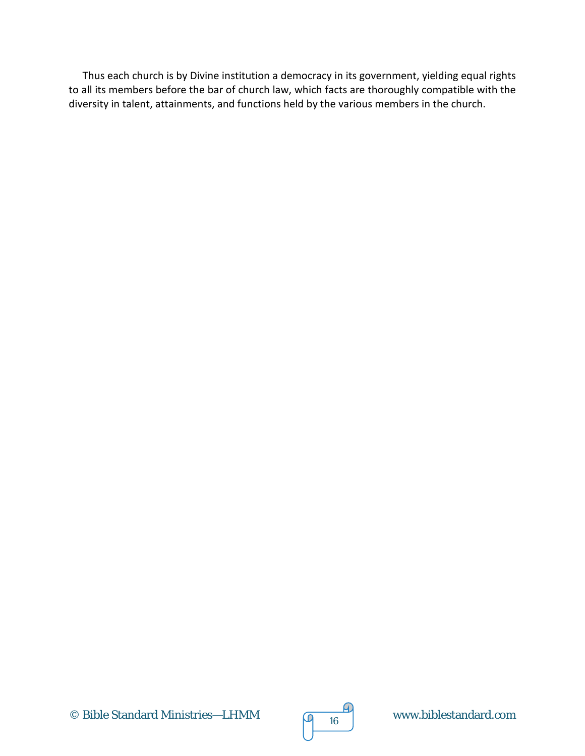Thus each church is by Divine institution a democracy in its government, yielding equal rights to all its members before the bar of church law, which facts are thoroughly compatible with the diversity in talent, attainments, and functions held by the various members in the church.

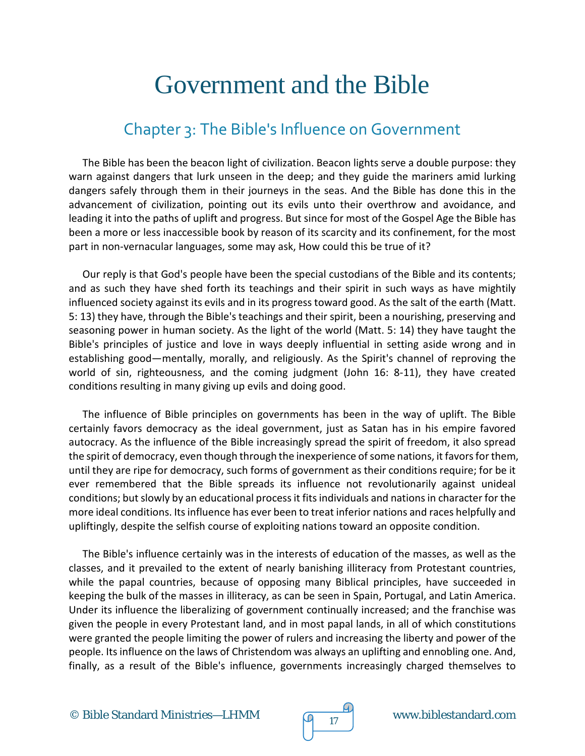# Government and the Bible

# Chapter 3: The Bible's Influence on Government

The Bible has been the beacon light of civilization. Beacon lights serve a double purpose: they warn against dangers that lurk unseen in the deep; and they guide the mariners amid lurking dangers safely through them in their journeys in the seas. And the Bible has done this in the advancement of civilization, pointing out its evils unto their overthrow and avoidance, and leading it into the paths of uplift and progress. But since for most of the Gospel Age the Bible has been a more or less inaccessible book by reason of its scarcity and its confinement, for the most part in non-vernacular languages, some may ask, How could this be true of it?

Our reply is that God's people have been the special custodians of the Bible and its contents; and as such they have shed forth its teachings and their spirit in such ways as have mightily influenced society against its evils and in its progress toward good. As the salt of the earth (Matt. 5: 13) they have, through the Bible's teachings and their spirit, been a nourishing, preserving and seasoning power in human society. As the light of the world (Matt. 5: 14) they have taught the Bible's principles of justice and love in ways deeply influential in setting aside wrong and in establishing good—mentally, morally, and religiously. As the Spirit's channel of reproving the world of sin, righteousness, and the coming judgment (John 16: 8-11), they have created conditions resulting in many giving up evils and doing good.

The influence of Bible principles on governments has been in the way of uplift. The Bible certainly favors democracy as the ideal government, just as Satan has in his empire favored autocracy. As the influence of the Bible increasingly spread the spirit of freedom, it also spread the spirit of democracy, even though through the inexperience of some nations, it favors for them, until they are ripe for democracy, such forms of government as their conditions require; for be it ever remembered that the Bible spreads its influence not revolutionarily against unideal conditions; but slowly by an educational process it fits individuals and nations in character for the more ideal conditions. Its influence has ever been to treat inferior nations and races helpfully and upliftingly, despite the selfish course of exploiting nations toward an opposite condition.

The Bible's influence certainly was in the interests of education of the masses, as well as the classes, and it prevailed to the extent of nearly banishing illiteracy from Protestant countries, while the papal countries, because of opposing many Biblical principles, have succeeded in keeping the bulk of the masses in illiteracy, as can be seen in Spain, Portugal, and Latin America. Under its influence the liberalizing of government continually increased; and the franchise was given the people in every Protestant land, and in most papal lands, in all of which constitutions were granted the people limiting the power of rulers and increasing the liberty and power of the people. Its influence on the laws of Christendom was always an uplifting and ennobling one. And, finally, as a result of the Bible's influence, governments increasingly charged themselves to

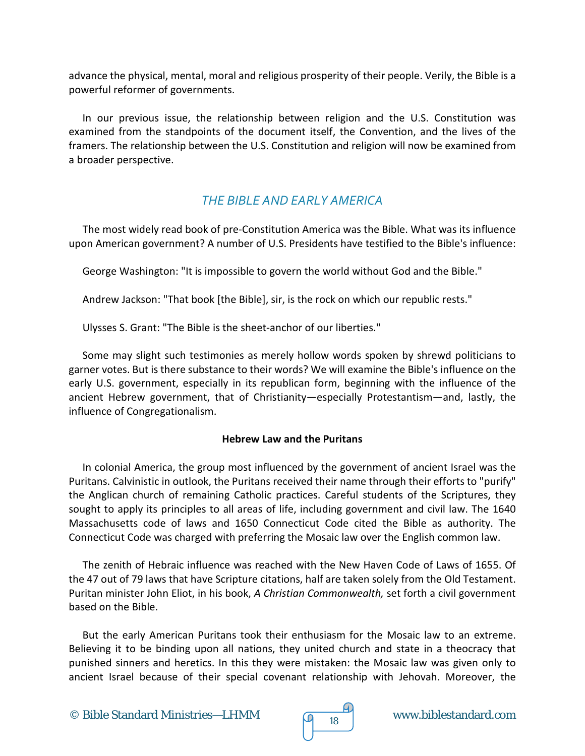advance the physical, mental, moral and religious prosperity of their people. Verily, the Bible is a powerful reformer of governments.

In our previous issue, the relationship between religion and the U.S. Constitution was examined from the standpoints of the document itself, the Convention, and the lives of the framers. The relationship between the U.S. Constitution and religion will now be examined from a broader perspective.

### *THE BIBLE AND EARLY AMERICA*

The most widely read book of pre-Constitution America was the Bible. What was its influence upon American government? A number of U.S. Presidents have testified to the Bible's influence:

George Washington: "It is impossible to govern the world without God and the Bible."

Andrew Jackson: "That book [the Bible], sir, is the rock on which our republic rests."

Ulysses S. Grant: "The Bible is the sheet-anchor of our liberties."

Some may slight such testimonies as merely hollow words spoken by shrewd politicians to garner votes. But is there substance to their words? We will examine the Bible's influence on the early U.S. government, especially in its republican form, beginning with the influence of the ancient Hebrew government, that of Christianity—especially Protestantism—and, lastly, the influence of Congregationalism.

#### **Hebrew Law and the Puritans**

In colonial America, the group most influenced by the government of ancient Israel was the Puritans. Calvinistic in outlook, the Puritans received their name through their efforts to "purify" the Anglican church of remaining Catholic practices. Careful students of the Scriptures, they sought to apply its principles to all areas of life, including government and civil law. The 1640 Massachusetts code of laws and 1650 Connecticut Code cited the Bible as authority. The Connecticut Code was charged with preferring the Mosaic law over the English common law.

The zenith of Hebraic influence was reached with the New Haven Code of Laws of 1655. Of the 47 out of 79 laws that have Scripture citations, half are taken solely from the Old Testament. Puritan minister John Eliot, in his book, *A Christian Commonwealth,* set forth a civil government based on the Bible.

But the early American Puritans took their enthusiasm for the Mosaic law to an extreme. Believing it to be binding upon all nations, they united church and state in a theocracy that punished sinners and heretics. In this they were mistaken: the Mosaic law was given only to ancient Israel because of their special covenant relationship with Jehovah. Moreover, the

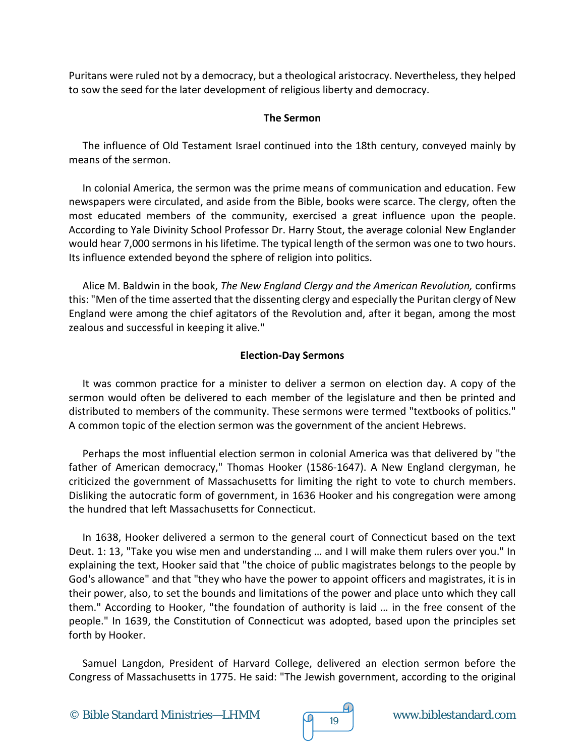Puritans were ruled not by a democracy, but a theological aristocracy. Nevertheless, they helped to sow the seed for the later development of religious liberty and democracy.

#### **The Sermon**

The influence of Old Testament Israel continued into the 18th century, conveyed mainly by means of the sermon.

In colonial America, the sermon was the prime means of communication and education. Few newspapers were circulated, and aside from the Bible, books were scarce. The clergy, often the most educated members of the community, exercised a great influence upon the people. According to Yale Divinity School Professor Dr. Harry Stout, the average colonial New Englander would hear 7,000 sermons in his lifetime. The typical length of the sermon was one to two hours. Its influence extended beyond the sphere of religion into politics.

Alice M. Baldwin in the book, *The New England Clergy and the American Revolution,* confirms this: "Men of the time asserted that the dissenting clergy and especially the Puritan clergy of New England were among the chief agitators of the Revolution and, after it began, among the most zealous and successful in keeping it alive."

#### **Election-Day Sermons**

It was common practice for a minister to deliver a sermon on election day. A copy of the sermon would often be delivered to each member of the legislature and then be printed and distributed to members of the community. These sermons were termed "textbooks of politics." A common topic of the election sermon was the government of the ancient Hebrews.

Perhaps the most influential election sermon in colonial America was that delivered by "the father of American democracy," Thomas Hooker (1586-1647). A New England clergyman, he criticized the government of Massachusetts for limiting the right to vote to church members. Disliking the autocratic form of government, in 1636 Hooker and his congregation were among the hundred that left Massachusetts for Connecticut.

In 1638, Hooker delivered a sermon to the general court of Connecticut based on the text Deut. 1: 13, "Take you wise men and understanding … and I will make them rulers over you." In explaining the text, Hooker said that "the choice of public magistrates belongs to the people by God's allowance" and that "they who have the power to appoint officers and magistrates, it is in their power, also, to set the bounds and limitations of the power and place unto which they call them." According to Hooker, "the foundation of authority is laid … in the free consent of the people." In 1639, the Constitution of Connecticut was adopted, based upon the principles set forth by Hooker.

Samuel Langdon, President of Harvard College, delivered an election sermon before the Congress of Massachusetts in 1775. He said: "The Jewish government, according to the original



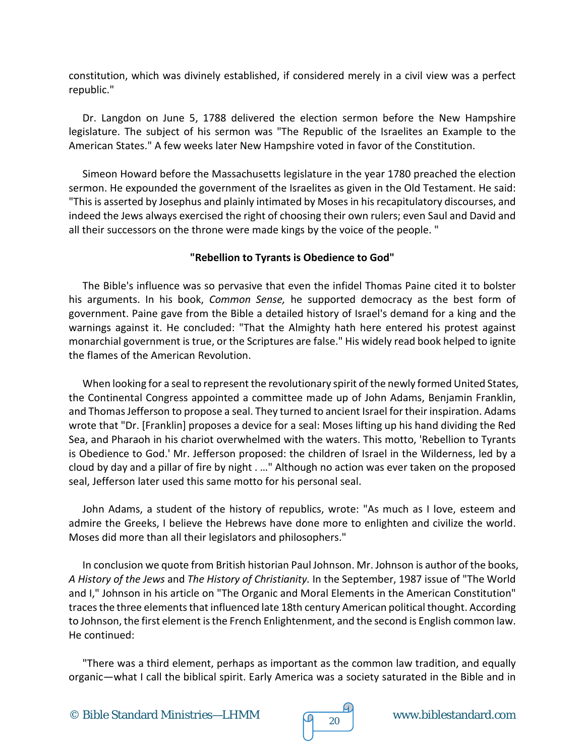constitution, which was divinely established, if considered merely in a civil view was a perfect republic."

Dr. Langdon on June 5, 1788 delivered the election sermon before the New Hampshire legislature. The subject of his sermon was "The Republic of the Israelites an Example to the American States." A few weeks later New Hampshire voted in favor of the Constitution.

Simeon Howard before the Massachusetts legislature in the year 1780 preached the election sermon. He expounded the government of the Israelites as given in the Old Testament. He said: "This is asserted by Josephus and plainly intimated by Moses in his recapitulatory discourses, and indeed the Jews always exercised the right of choosing their own rulers; even Saul and David and all their successors on the throne were made kings by the voice of the people. "

#### **"Rebellion to Tyrants is Obedience to God"**

The Bible's influence was so pervasive that even the infidel Thomas Paine cited it to bolster his arguments. In his book, *Common Sense,* he supported democracy as the best form of government. Paine gave from the Bible a detailed history of Israel's demand for a king and the warnings against it. He concluded: "That the Almighty hath here entered his protest against monarchial government is true, or the Scriptures are false." His widely read book helped to ignite the flames of the American Revolution.

When looking for a seal to represent the revolutionary spirit of the newly formed United States, the Continental Congress appointed a committee made up of John Adams, Benjamin Franklin, and Thomas Jefferson to propose a seal. They turned to ancient Israel for their inspiration. Adams wrote that "Dr. [Franklin] proposes a device for a seal: Moses lifting up his hand dividing the Red Sea, and Pharaoh in his chariot overwhelmed with the waters. This motto, 'Rebellion to Tyrants is Obedience to God.' Mr. Jefferson proposed: the children of Israel in the Wilderness, led by a cloud by day and a pillar of fire by night . …" Although no action was ever taken on the proposed seal, Jefferson later used this same motto for his personal seal.

John Adams, a student of the history of republics, wrote: "As much as I love, esteem and admire the Greeks, I believe the Hebrews have done more to enlighten and civilize the world. Moses did more than all their legislators and philosophers."

In conclusion we quote from British historian Paul Johnson. Mr. Johnson is author of the books, *A History of the Jews* and *The History of Christianity.* In the September, 1987 issue of "The World and I," Johnson in his article on "The Organic and Moral Elements in the American Constitution" traces the three elements that influenced late 18th century American political thought. According to Johnson, the first element is the French Enlightenment, and the second is English common law. He continued:

"There was a third element, perhaps as important as the common law tradition, and equally organic—what I call the biblical spirit. Early America was a society saturated in the Bible and in

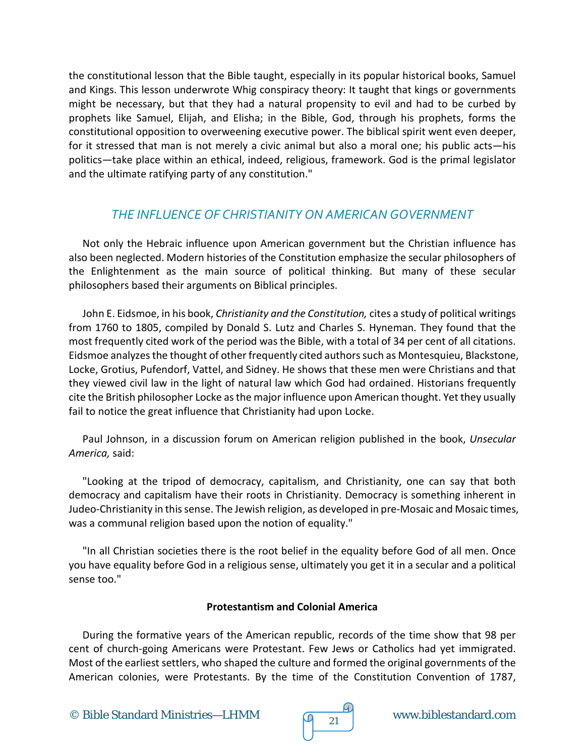the constitutional lesson that the Bible taught, especially in its popular historical books, Samuel and Kings. This lesson underwrote Whig conspiracy theory: It taught that kings or governments might be necessary, but that they had a natural propensity to evil and had to be curbed by prophets like Samuel, Elijah, and Elisha; in the Bible, God, through his prophets, forms the constitutional opposition to overweening executive power. The biblical spirit went even deeper, for it stressed that man is not merely a civic animal but also a moral one; his public acts—his politics—take place within an ethical, indeed, religious, framework. God is the primal legislator and the ultimate ratifying party of any constitution."

### *THE INFLUENCE OF CHRISTIANITY ON AMERICAN GOVERNMENT*

Not only the Hebraic influence upon American government but the Christian influence has also been neglected. Modern histories of the Constitution emphasize the secular philosophers of the Enlightenment as the main source of political thinking. But many of these secular philosophers based their arguments on Biblical principles.

John E. Eidsmoe, in his book, *Christianity and the Constitution,* cites a study of political writings from 1760 to 1805, compiled by Donald S. Lutz and Charles S. Hyneman. They found that the most frequently cited work of the period was the Bible, with a total of 34 per cent of all citations. Eidsmoe analyzes the thought of other frequently cited authors such as Montesquieu, Blackstone, Locke, Grotius, Pufendorf, Vattel, and Sidney. He shows that these men were Christians and that they viewed civil law in the light of natural law which God had ordained. Historians frequently cite the British philosopher Locke as the major influence upon American thought. Yet they usually fail to notice the great influence that Christianity had upon Locke.

Paul Johnson, in a discussion forum on American religion published in the book, *Unsecular America,* said:

"Looking at the tripod of democracy, capitalism, and Christianity, one can say that both democracy and capitalism have their roots in Christianity. Democracy is something inherent in Judeo-Christianity in this sense. The Jewish religion, as developed in pre-Mosaic and Mosaic times, was a communal religion based upon the notion of equality."

"In all Christian societies there is the root belief in the equality before God of all men. Once you have equality before God in a religious sense, ultimately you get it in a secular and a political sense too."

#### **Protestantism and Colonial America**

During the formative years of the American republic, records of the time show that 98 per cent of church-going Americans were Protestant. Few Jews or Catholics had yet immigrated. Most of the earliest settlers, who shaped the culture and formed the original governments of the American colonies, were Protestants. By the time of the Constitution Convention of 1787,

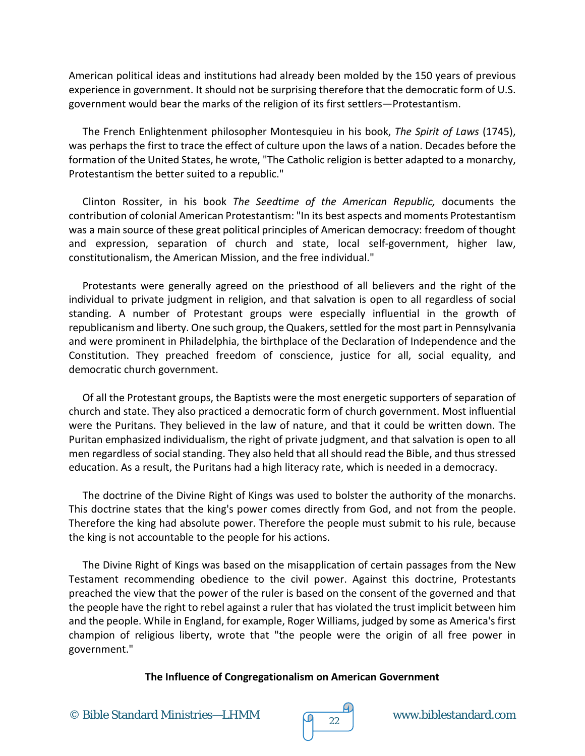American political ideas and institutions had already been molded by the 150 years of previous experience in government. It should not be surprising therefore that the democratic form of U.S. government would bear the marks of the religion of its first settlers—Protestantism.

The French Enlightenment philosopher Montesquieu in his book, *The Spirit of Laws* (1745), was perhaps the first to trace the effect of culture upon the laws of a nation. Decades before the formation of the United States, he wrote, "The Catholic religion is better adapted to a monarchy, Protestantism the better suited to a republic."

Clinton Rossiter, in his book *The Seedtime of the American Republic,* documents the contribution of colonial American Protestantism: "In its best aspects and moments Protestantism was a main source of these great political principles of American democracy: freedom of thought and expression, separation of church and state, local self-government, higher law, constitutionalism, the American Mission, and the free individual."

Protestants were generally agreed on the priesthood of all believers and the right of the individual to private judgment in religion, and that salvation is open to all regardless of social standing. A number of Protestant groups were especially influential in the growth of republicanism and liberty. One such group, the Quakers, settled for the most part in Pennsylvania and were prominent in Philadelphia, the birthplace of the Declaration of Independence and the Constitution. They preached freedom of conscience, justice for all, social equality, and democratic church government.

Of all the Protestant groups, the Baptists were the most energetic supporters of separation of church and state. They also practiced a democratic form of church government. Most influential were the Puritans. They believed in the law of nature, and that it could be written down. The Puritan emphasized individualism, the right of private judgment, and that salvation is open to all men regardless of social standing. They also held that all should read the Bible, and thus stressed education. As a result, the Puritans had a high literacy rate, which is needed in a democracy.

The doctrine of the Divine Right of Kings was used to bolster the authority of the monarchs. This doctrine states that the king's power comes directly from God, and not from the people. Therefore the king had absolute power. Therefore the people must submit to his rule, because the king is not accountable to the people for his actions.

The Divine Right of Kings was based on the misapplication of certain passages from the New Testament recommending obedience to the civil power. Against this doctrine, Protestants preached the view that the power of the ruler is based on the consent of the governed and that the people have the right to rebel against a ruler that has violated the trust implicit between him and the people. While in England, for example, Roger Williams, judged by some as America's first champion of religious liberty, wrote that "the people were the origin of all free power in government."

#### **The Influence of Congregationalism on American Government**

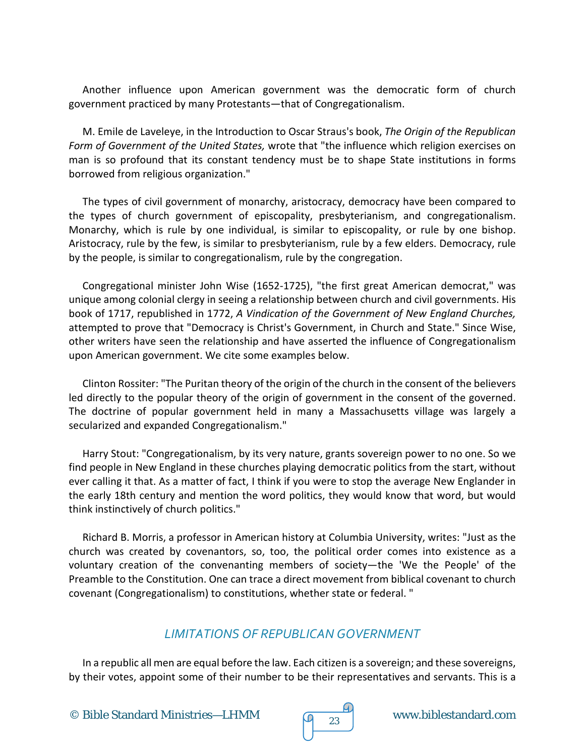Another influence upon American government was the democratic form of church government practiced by many Protestants—that of Congregationalism.

M. Emile de Laveleye, in the Introduction to Oscar Straus's book, *The Origin of the Republican Form of Government of the United States,* wrote that "the influence which religion exercises on man is so profound that its constant tendency must be to shape State institutions in forms borrowed from religious organization."

The types of civil government of monarchy, aristocracy, democracy have been compared to the types of church government of episcopality, presbyterianism, and congregationalism. Monarchy, which is rule by one individual, is similar to episcopality, or rule by one bishop. Aristocracy, rule by the few, is similar to presbyterianism, rule by a few elders. Democracy, rule by the people, is similar to congregationalism, rule by the congregation.

Congregational minister John Wise (1652-1725), "the first great American democrat," was unique among colonial clergy in seeing a relationship between church and civil governments. His book of 1717, republished in 1772, *A Vindication of the Government of New England Churches,* attempted to prove that "Democracy is Christ's Government, in Church and State." Since Wise, other writers have seen the relationship and have asserted the influence of Congregationalism upon American government. We cite some examples below.

Clinton Rossiter: "The Puritan theory of the origin of the church in the consent of the believers led directly to the popular theory of the origin of government in the consent of the governed. The doctrine of popular government held in many a Massachusetts village was largely a secularized and expanded Congregationalism."

Harry Stout: "Congregationalism, by its very nature, grants sovereign power to no one. So we find people in New England in these churches playing democratic politics from the start, without ever calling it that. As a matter of fact, I think if you were to stop the average New Englander in the early 18th century and mention the word politics, they would know that word, but would think instinctively of church politics."

Richard B. Morris, a professor in American history at Columbia University, writes: "Just as the church was created by covenantors, so, too, the political order comes into existence as a voluntary creation of the convenanting members of society—the 'We the People' of the Preamble to the Constitution. One can trace a direct movement from biblical covenant to church covenant (Congregationalism) to constitutions, whether state or federal. "

#### *LIMITATIONS OF REPUBLICAN GOVERNMENT*

In a republic all men are equal before the law. Each citizen is a sovereign; and these sovereigns, by their votes, appoint some of their number to be their representatives and servants. This is a

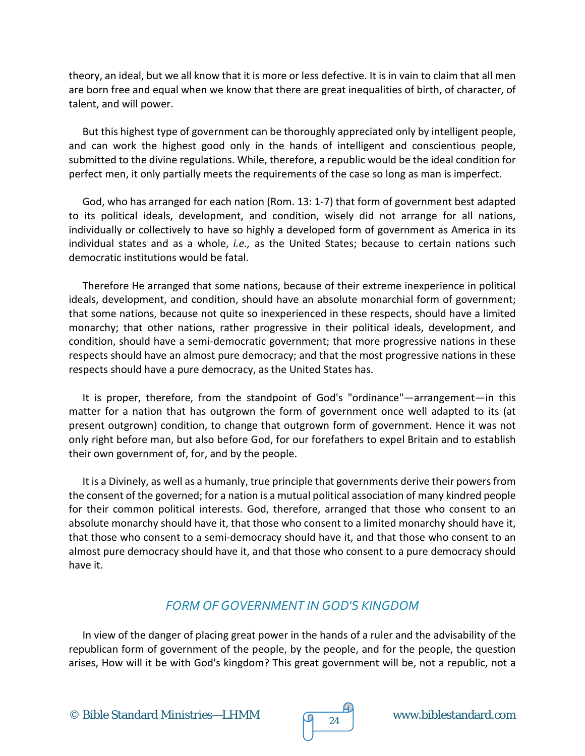theory, an ideal, but we all know that it is more or less defective. It is in vain to claim that all men are born free and equal when we know that there are great inequalities of birth, of character, of talent, and will power.

But this highest type of government can be thoroughly appreciated only by intelligent people, and can work the highest good only in the hands of intelligent and conscientious people, submitted to the divine regulations. While, therefore, a republic would be the ideal condition for perfect men, it only partially meets the requirements of the case so long as man is imperfect.

God, who has arranged for each nation (Rom. 13: 1-7) that form of government best adapted to its political ideals, development, and condition, wisely did not arrange for all nations, individually or collectively to have so highly a developed form of government as America in its individual states and as a whole, *i.e.,* as the United States; because to certain nations such democratic institutions would be fatal.

Therefore He arranged that some nations, because of their extreme inexperience in political ideals, development, and condition, should have an absolute monarchial form of government; that some nations, because not quite so inexperienced in these respects, should have a limited monarchy; that other nations, rather progressive in their political ideals, development, and condition, should have a semi-democratic government; that more progressive nations in these respects should have an almost pure democracy; and that the most progressive nations in these respects should have a pure democracy, as the United States has.

It is proper, therefore, from the standpoint of God's "ordinance"—arrangement—in this matter for a nation that has outgrown the form of government once well adapted to its (at present outgrown) condition, to change that outgrown form of government. Hence it was not only right before man, but also before God, for our forefathers to expel Britain and to establish their own government of, for, and by the people.

It is a Divinely, as well as a humanly, true principle that governments derive their powers from the consent of the governed; for a nation is a mutual political association of many kindred people for their common political interests. God, therefore, arranged that those who consent to an absolute monarchy should have it, that those who consent to a limited monarchy should have it, that those who consent to a semi-democracy should have it, and that those who consent to an almost pure democracy should have it, and that those who consent to a pure democracy should have it.

#### *FORM OF GOVERNMENT IN GOD'S KINGDOM*

In view of the danger of placing great power in the hands of a ruler and the advisability of the republican form of government of the people, by the people, and for the people, the question arises, How will it be with God's kingdom? This great government will be, not a republic, not a

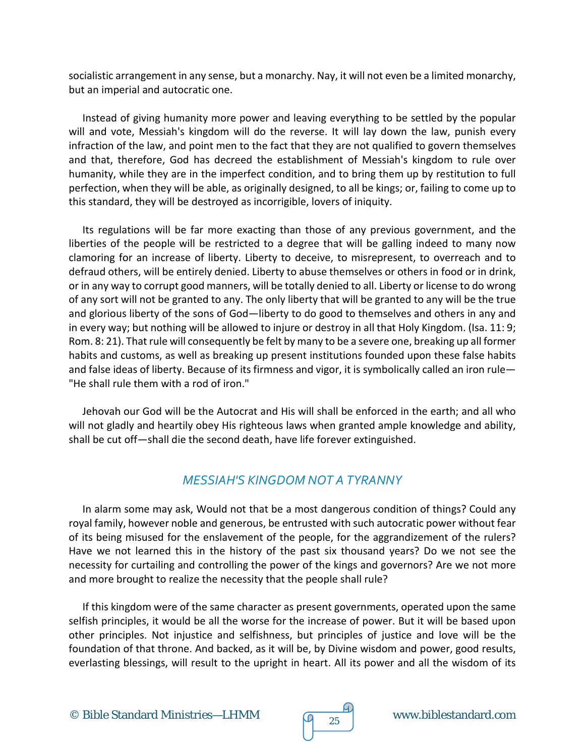socialistic arrangement in any sense, but a monarchy. Nay, it will not even be a limited monarchy, but an imperial and autocratic one.

Instead of giving humanity more power and leaving everything to be settled by the popular will and vote, Messiah's kingdom will do the reverse. It will lay down the law, punish every infraction of the law, and point men to the fact that they are not qualified to govern themselves and that, therefore, God has decreed the establishment of Messiah's kingdom to rule over humanity, while they are in the imperfect condition, and to bring them up by restitution to full perfection, when they will be able, as originally designed, to all be kings; or, failing to come up to this standard, they will be destroyed as incorrigible, lovers of iniquity.

Its regulations will be far more exacting than those of any previous government, and the liberties of the people will be restricted to a degree that will be galling indeed to many now clamoring for an increase of liberty. Liberty to deceive, to misrepresent, to overreach and to defraud others, will be entirely denied. Liberty to abuse themselves or others in food or in drink, or in any way to corrupt good manners, will be totally denied to all. Liberty or license to do wrong of any sort will not be granted to any. The only liberty that will be granted to any will be the true and glorious liberty of the sons of God—liberty to do good to themselves and others in any and in every way; but nothing will be allowed to injure or destroy in all that Holy Kingdom. (Isa. 11: 9; Rom. 8: 21). That rule will consequently be felt by many to be a severe one, breaking up all former habits and customs, as well as breaking up present institutions founded upon these false habits and false ideas of liberty. Because of its firmness and vigor, it is symbolically called an iron rule— "He shall rule them with a rod of iron."

Jehovah our God will be the Autocrat and His will shall be enforced in the earth; and all who will not gladly and heartily obey His righteous laws when granted ample knowledge and ability, shall be cut off—shall die the second death, have life forever extinguished.

#### *MESSIAH'S KINGDOM NOT A TYRANNY*

In alarm some may ask, Would not that be a most dangerous condition of things? Could any royal family, however noble and generous, be entrusted with such autocratic power without fear of its being misused for the enslavement of the people, for the aggrandizement of the rulers? Have we not learned this in the history of the past six thousand years? Do we not see the necessity for curtailing and controlling the power of the kings and governors? Are we not more and more brought to realize the necessity that the people shall rule?

If this kingdom were of the same character as present governments, operated upon the same selfish principles, it would be all the worse for the increase of power. But it will be based upon other principles. Not injustice and selfishness, but principles of justice and love will be the foundation of that throne. And backed, as it will be, by Divine wisdom and power, good results, everlasting blessings, will result to the upright in heart. All its power and all the wisdom of its



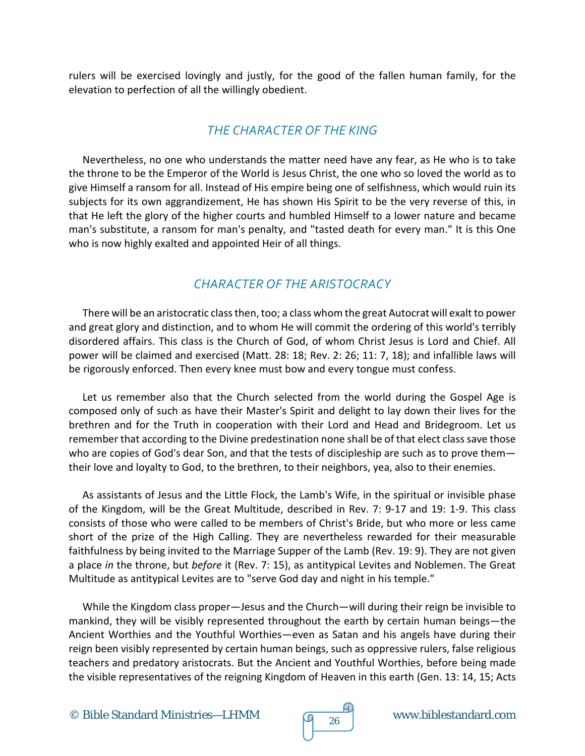rulers will be exercised lovingly and justly, for the good of the fallen human family, for the elevation to perfection of all the willingly obedient.

## *THE CHARACTER OF THE KING*

Nevertheless, no one who understands the matter need have any fear, as He who is to take the throne to be the Emperor of the World is Jesus Christ, the one who so loved the world as to give Himself a ransom for all. Instead of His empire being one of selfishness, which would ruin its subjects for its own aggrandizement, He has shown His Spirit to be the very reverse of this, in that He left the glory of the higher courts and humbled Himself to a lower nature and became man's substitute, a ransom for man's penalty, and "tasted death for every man." It is this One who is now highly exalted and appointed Heir of all things.

### *CHARACTER OF THE ARISTOCRACY*

There will be an aristocratic class then, too; a class whom the great Autocrat will exalt to power and great glory and distinction, and to whom He will commit the ordering of this world's terribly disordered affairs. This class is the Church of God, of whom Christ Jesus is Lord and Chief. All power will be claimed and exercised (Matt. 28: 18; Rev. 2: 26; 11: 7, 18); and infallible laws will be rigorously enforced. Then every knee must bow and every tongue must confess.

Let us remember also that the Church selected from the world during the Gospel Age is composed only of such as have their Master's Spirit and delight to lay down their lives for the brethren and for the Truth in cooperation with their Lord and Head and Bridegroom. Let us remember that according to the Divine predestination none shall be of that elect class save those who are copies of God's dear Son, and that the tests of discipleship are such as to prove them their love and loyalty to God, to the brethren, to their neighbors, yea, also to their enemies.

As assistants of Jesus and the Little Flock, the Lamb's Wife, in the spiritual or invisible phase of the Kingdom, will be the Great Multitude, described in Rev. 7: 9-17 and 19: 1-9. This class consists of those who were called to be members of Christ's Bride, but who more or less came short of the prize of the High Calling. They are nevertheless rewarded for their measurable faithfulness by being invited to the Marriage Supper of the Lamb (Rev. 19: 9). They are not given a place *in* the throne, but *before* it (Rev. 7: 15), as antitypical Levites and Noblemen. The Great Multitude as antitypical Levites are to "serve God day and night in his temple."

While the Kingdom class proper—Jesus and the Church—will during their reign be invisible to mankind, they will be visibly represented throughout the earth by certain human beings—the Ancient Worthies and the Youthful Worthies—even as Satan and his angels have during their reign been visibly represented by certain human beings, such as oppressive rulers, false religious teachers and predatory aristocrats. But the Ancient and Youthful Worthies, before being made the visible representatives of the reigning Kingdom of Heaven in this earth (Gen. 13: 14, 15; Acts

© Bible Standard Ministries—LHMM  $\sqrt{9}$  26 www.biblestandard.com